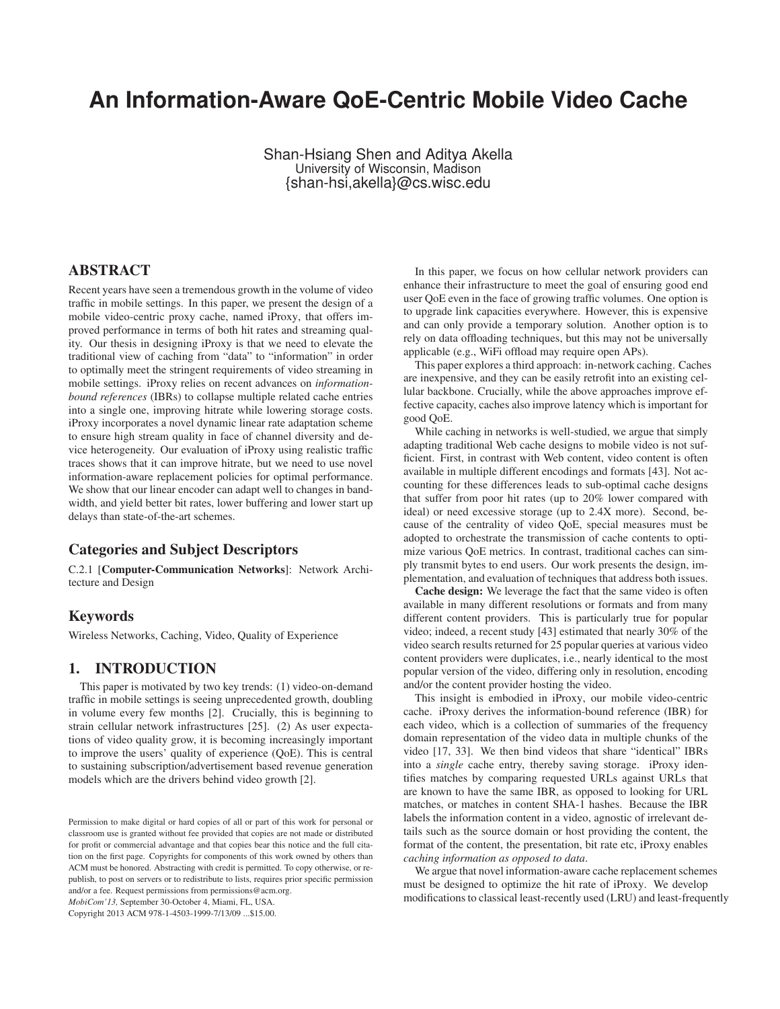# **An Information-Aware QoE-Centric Mobile Video Cache**

Shan-Hsiang Shen and Aditya Akella University of Wisconsin, Madison {shan-hsi,akella}@cs.wisc.edu

# ABSTRACT

Recent years have seen a tremendous growth in the volume of video traffic in mobile settings. In this paper, we present the design of a mobile video-centric proxy cache, named iProxy, that offers improved performance in terms of both hit rates and streaming quality. Our thesis in designing iProxy is that we need to elevate the traditional view of caching from "data" to "information" in order to optimally meet the stringent requirements of video streaming in mobile settings. iProxy relies on recent advances on *informationbound references* (IBRs) to collapse multiple related cache entries into a single one, improving hitrate while lowering storage costs. iProxy incorporates a novel dynamic linear rate adaptation scheme to ensure high stream quality in face of channel diversity and device heterogeneity. Our evaluation of iProxy using realistic traffic traces shows that it can improve hitrate, but we need to use novel information-aware replacement policies for optimal performance. We show that our linear encoder can adapt well to changes in bandwidth, and yield better bit rates, lower buffering and lower start up delays than state-of-the-art schemes.

## Categories and Subject Descriptors

C.2.1 [Computer-Communication Networks]: Network Architecture and Design

# Keywords

Wireless Networks, Caching, Video, Quality of Experience

## 1. INTRODUCTION

This paper is motivated by two key trends: (1) video-on-demand traffic in mobile settings is seeing unprecedented growth, doubling in volume every few months [2]. Crucially, this is beginning to strain cellular network infrastructures [25]. (2) As user expectations of video quality grow, it is becoming increasingly important to improve the users' quality of experience (QoE). This is central to sustaining subscription/advertisement based revenue generation models which are the drivers behind video growth [2].

*MobiCom'13,* September 30-October 4, Miami, FL, USA.

Copyright 2013 ACM 978-1-4503-1999-7/13/09 ...\$15.00.

In this paper, we focus on how cellular network providers can enhance their infrastructure to meet the goal of ensuring good end user QoE even in the face of growing traffic volumes. One option is to upgrade link capacities everywhere. However, this is expensive and can only provide a temporary solution. Another option is to rely on data offloading techniques, but this may not be universally applicable (e.g., WiFi offload may require open APs).

This paper explores a third approach: in-network caching. Caches are inexpensive, and they can be easily retrofit into an existing cellular backbone. Crucially, while the above approaches improve effective capacity, caches also improve latency which is important for good QoE.

While caching in networks is well-studied, we argue that simply adapting traditional Web cache designs to mobile video is not sufficient. First, in contrast with Web content, video content is often available in multiple different encodings and formats [43]. Not accounting for these differences leads to sub-optimal cache designs that suffer from poor hit rates (up to 20% lower compared with ideal) or need excessive storage (up to 2.4X more). Second, because of the centrality of video QoE, special measures must be adopted to orchestrate the transmission of cache contents to optimize various QoE metrics. In contrast, traditional caches can simply transmit bytes to end users. Our work presents the design, implementation, and evaluation of techniques that address both issues.

Cache design: We leverage the fact that the same video is often available in many different resolutions or formats and from many different content providers. This is particularly true for popular video; indeed, a recent study [43] estimated that nearly 30% of the video search results returned for 25 popular queries at various video content providers were duplicates, i.e., nearly identical to the most popular version of the video, differing only in resolution, encoding and/or the content provider hosting the video.

This insight is embodied in iProxy, our mobile video-centric cache. iProxy derives the information-bound reference (IBR) for each video, which is a collection of summaries of the frequency domain representation of the video data in multiple chunks of the video [17, 33]. We then bind videos that share "identical" IBRs into a *single* cache entry, thereby saving storage. iProxy identifies matches by comparing requested URLs against URLs that are known to have the same IBR, as opposed to looking for URL matches, or matches in content SHA-1 hashes. Because the IBR labels the information content in a video, agnostic of irrelevant details such as the source domain or host providing the content, the format of the content, the presentation, bit rate etc, iProxy enables *caching information as opposed to data*.

We argue that novel information-aware cache replacement schemes must be designed to optimize the hit rate of iProxy. We develop modifications to classical least-recently used (LRU) and least-frequently

Permission to make digital or hard copies of all or part of this work for personal or classroom use is granted without fee provided that copies are not made or distributed for profit or commercial advantage and that copies bear this notice and the full citation on the first page. Copyrights for components of this work owned by others than ACM must be honored. Abstracting with credit is permitted. To copy otherwise, or republish, to post on servers or to redistribute to lists, requires prior specific permission and/or a fee. Request permissions from permissions@acm.org.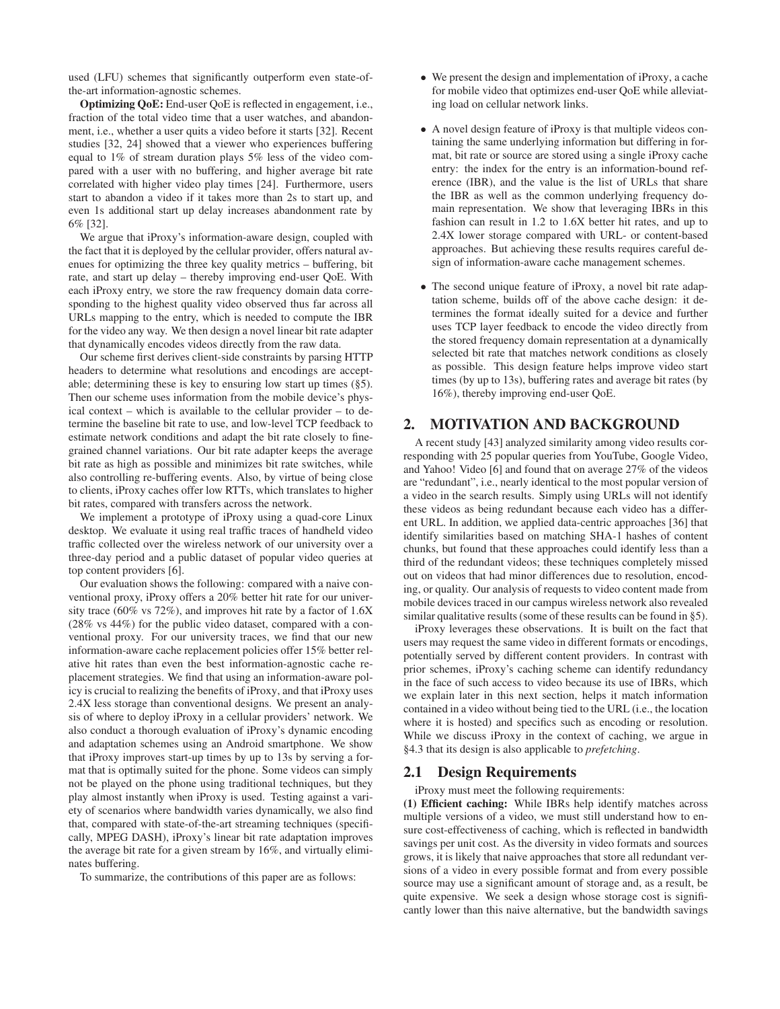used (LFU) schemes that significantly outperform even state-ofthe-art information-agnostic schemes.

Optimizing QoE: End-user QoE is reflected in engagement, i.e., fraction of the total video time that a user watches, and abandonment, i.e., whether a user quits a video before it starts [32]. Recent studies [32, 24] showed that a viewer who experiences buffering equal to 1% of stream duration plays 5% less of the video compared with a user with no buffering, and higher average bit rate correlated with higher video play times [24]. Furthermore, users start to abandon a video if it takes more than 2s to start up, and even 1s additional start up delay increases abandonment rate by 6% [32].

We argue that iProxy's information-aware design, coupled with the fact that it is deployed by the cellular provider, offers natural avenues for optimizing the three key quality metrics – buffering, bit rate, and start up delay – thereby improving end-user QoE. With each iProxy entry, we store the raw frequency domain data corresponding to the highest quality video observed thus far across all URLs mapping to the entry, which is needed to compute the IBR for the video any way. We then design a novel linear bit rate adapter that dynamically encodes videos directly from the raw data.

Our scheme first derives client-side constraints by parsing HTTP headers to determine what resolutions and encodings are acceptable; determining these is key to ensuring low start up times (§5). Then our scheme uses information from the mobile device's physical context – which is available to the cellular provider – to determine the baseline bit rate to use, and low-level TCP feedback to estimate network conditions and adapt the bit rate closely to finegrained channel variations. Our bit rate adapter keeps the average bit rate as high as possible and minimizes bit rate switches, while also controlling re-buffering events. Also, by virtue of being close to clients, iProxy caches offer low RTTs, which translates to higher bit rates, compared with transfers across the network.

We implement a prototype of iProxy using a quad-core Linux desktop. We evaluate it using real traffic traces of handheld video traffic collected over the wireless network of our university over a three-day period and a public dataset of popular video queries at top content providers [6].

Our evaluation shows the following: compared with a naive conventional proxy, iProxy offers a 20% better hit rate for our university trace (60% vs 72%), and improves hit rate by a factor of 1.6X (28% vs 44%) for the public video dataset, compared with a conventional proxy. For our university traces, we find that our new information-aware cache replacement policies offer 15% better relative hit rates than even the best information-agnostic cache replacement strategies. We find that using an information-aware policy is crucial to realizing the benefits of iProxy, and that iProxy uses 2.4X less storage than conventional designs. We present an analysis of where to deploy iProxy in a cellular providers' network. We also conduct a thorough evaluation of iProxy's dynamic encoding and adaptation schemes using an Android smartphone. We show that iProxy improves start-up times by up to 13s by serving a format that is optimally suited for the phone. Some videos can simply not be played on the phone using traditional techniques, but they play almost instantly when iProxy is used. Testing against a variety of scenarios where bandwidth varies dynamically, we also find that, compared with state-of-the-art streaming techniques (specifically, MPEG DASH), iProxy's linear bit rate adaptation improves the average bit rate for a given stream by 16%, and virtually eliminates buffering.

To summarize, the contributions of this paper are as follows:

- We present the design and implementation of iProxy, a cache for mobile video that optimizes end-user QoE while alleviating load on cellular network links.
- A novel design feature of iProxy is that multiple videos containing the same underlying information but differing in format, bit rate or source are stored using a single iProxy cache entry: the index for the entry is an information-bound reference (IBR), and the value is the list of URLs that share the IBR as well as the common underlying frequency domain representation. We show that leveraging IBRs in this fashion can result in 1.2 to 1.6X better hit rates, and up to 2.4X lower storage compared with URL- or content-based approaches. But achieving these results requires careful design of information-aware cache management schemes.
- The second unique feature of iProxy, a novel bit rate adaptation scheme, builds off of the above cache design: it determines the format ideally suited for a device and further uses TCP layer feedback to encode the video directly from the stored frequency domain representation at a dynamically selected bit rate that matches network conditions as closely as possible. This design feature helps improve video start times (by up to 13s), buffering rates and average bit rates (by 16%), thereby improving end-user QoE.

# 2. MOTIVATION AND BACKGROUND

A recent study [43] analyzed similarity among video results corresponding with 25 popular queries from YouTube, Google Video, and Yahoo! Video [6] and found that on average 27% of the videos are "redundant", i.e., nearly identical to the most popular version of a video in the search results. Simply using URLs will not identify these videos as being redundant because each video has a different URL. In addition, we applied data-centric approaches [36] that identify similarities based on matching SHA-1 hashes of content chunks, but found that these approaches could identify less than a third of the redundant videos; these techniques completely missed out on videos that had minor differences due to resolution, encoding, or quality. Our analysis of requests to video content made from mobile devices traced in our campus wireless network also revealed similar qualitative results (some of these results can be found in §5).

iProxy leverages these observations. It is built on the fact that users may request the same video in different formats or encodings, potentially served by different content providers. In contrast with prior schemes, iProxy's caching scheme can identify redundancy in the face of such access to video because its use of IBRs, which we explain later in this next section, helps it match information contained in a video without being tied to the URL (i.e., the location where it is hosted) and specifics such as encoding or resolution. While we discuss iProxy in the context of caching, we argue in §4.3 that its design is also applicable to *prefetching*.

#### 2.1 Design Requirements

iProxy must meet the following requirements:

(1) Efficient caching: While IBRs help identify matches across multiple versions of a video, we must still understand how to ensure cost-effectiveness of caching, which is reflected in bandwidth savings per unit cost. As the diversity in video formats and sources grows, it is likely that naive approaches that store all redundant versions of a video in every possible format and from every possible source may use a significant amount of storage and, as a result, be quite expensive. We seek a design whose storage cost is significantly lower than this naive alternative, but the bandwidth savings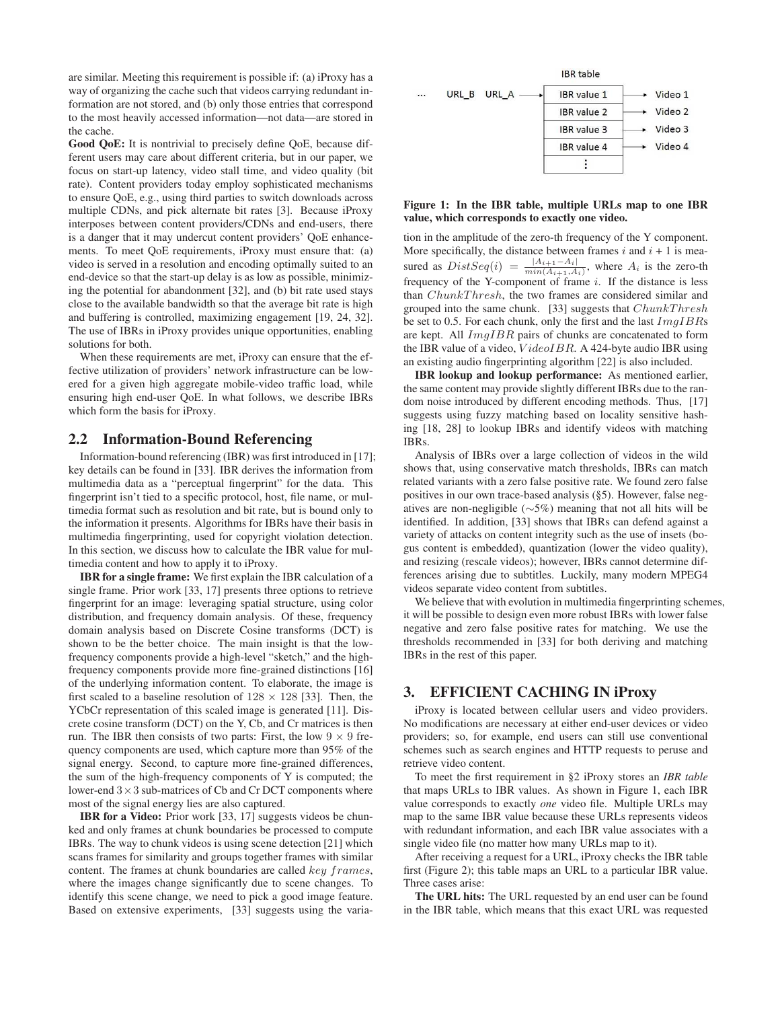are similar. Meeting this requirement is possible if: (a) iProxy has a way of organizing the cache such that videos carrying redundant information are not stored, and (b) only those entries that correspond to the most heavily accessed information—not data—are stored in the cache.

Good QoE: It is nontrivial to precisely define QoE, because different users may care about different criteria, but in our paper, we focus on start-up latency, video stall time, and video quality (bit rate). Content providers today employ sophisticated mechanisms to ensure QoE, e.g., using third parties to switch downloads across multiple CDNs, and pick alternate bit rates [3]. Because iProxy interposes between content providers/CDNs and end-users, there is a danger that it may undercut content providers' QoE enhancements. To meet QoE requirements, iProxy must ensure that: (a) video is served in a resolution and encoding optimally suited to an end-device so that the start-up delay is as low as possible, minimizing the potential for abandonment [32], and (b) bit rate used stays close to the available bandwidth so that the average bit rate is high and buffering is controlled, maximizing engagement [19, 24, 32]. The use of IBRs in iProxy provides unique opportunities, enabling solutions for both.

When these requirements are met, iProxy can ensure that the effective utilization of providers' network infrastructure can be lowered for a given high aggregate mobile-video traffic load, while ensuring high end-user QoE. In what follows, we describe IBRs which form the basis for iProxy.

## 2.2 Information-Bound Referencing

Information-bound referencing (IBR) was first introduced in [17]; key details can be found in [33]. IBR derives the information from multimedia data as a "perceptual fingerprint" for the data. This fingerprint isn't tied to a specific protocol, host, file name, or multimedia format such as resolution and bit rate, but is bound only to the information it presents. Algorithms for IBRs have their basis in multimedia fingerprinting, used for copyright violation detection. In this section, we discuss how to calculate the IBR value for multimedia content and how to apply it to iProxy.

IBR for a single frame: We first explain the IBR calculation of a single frame. Prior work [33, 17] presents three options to retrieve fingerprint for an image: leveraging spatial structure, using color distribution, and frequency domain analysis. Of these, frequency domain analysis based on Discrete Cosine transforms (DCT) is shown to be the better choice. The main insight is that the lowfrequency components provide a high-level "sketch," and the highfrequency components provide more fine-grained distinctions [16] of the underlying information content. To elaborate, the image is first scaled to a baseline resolution of  $128 \times 128$  [33]. Then, the YCbCr representation of this scaled image is generated [11]. Discrete cosine transform (DCT) on the Y, Cb, and Cr matrices is then run. The IBR then consists of two parts: First, the low  $9 \times 9$  frequency components are used, which capture more than 95% of the signal energy. Second, to capture more fine-grained differences, the sum of the high-frequency components of Y is computed; the lower-end  $3 \times 3$  sub-matrices of Cb and Cr DCT components where most of the signal energy lies are also captured.

IBR for a Video: Prior work [33, 17] suggests videos be chunked and only frames at chunk boundaries be processed to compute IBRs. The way to chunk videos is using scene detection [21] which scans frames for similarity and groups together frames with similar content. The frames at chunk boundaries are called key frames, where the images change significantly due to scene changes. To identify this scene change, we need to pick a good image feature. Based on extensive experiments, [33] suggests using the varia-



#### Figure 1: In the IBR table, multiple URLs map to one IBR value, which corresponds to exactly one video.

tion in the amplitude of the zero-th frequency of the Y component. More specifically, the distance between frames  $i$  and  $i + 1$  is measured as  $DistSeq(i) = \frac{|A_{i+1} - A_i|}{min(A_{i+1}, A_i)}$ , where  $A_i$  is the zero-th frequency of the Y-component of frame  $i$ . If the distance is less than  $ChunkThresh$ , the two frames are considered similar and grouped into the same chunk. [33] suggests that  $ChunkThresh$ be set to 0.5. For each chunk, only the first and the last  $Im gIBRs$ are kept. All  $ImgIBR$  pairs of chunks are concatenated to form the IBR value of a video,  $VideoIBR$ . A 424-byte audio IBR using an existing audio fingerprinting algorithm [22] is also included.

IBR lookup and lookup performance: As mentioned earlier, the same content may provide slightly different IBRs due to the random noise introduced by different encoding methods. Thus, [17] suggests using fuzzy matching based on locality sensitive hashing [18, 28] to lookup IBRs and identify videos with matching IBRs.

Analysis of IBRs over a large collection of videos in the wild shows that, using conservative match thresholds, IBRs can match related variants with a zero false positive rate. We found zero false positives in our own trace-based analysis (§5). However, false negatives are non-negligible (∼5%) meaning that not all hits will be identified. In addition, [33] shows that IBRs can defend against a variety of attacks on content integrity such as the use of insets (bogus content is embedded), quantization (lower the video quality), and resizing (rescale videos); however, IBRs cannot determine differences arising due to subtitles. Luckily, many modern MPEG4 videos separate video content from subtitles.

We believe that with evolution in multimedia fingerprinting schemes, it will be possible to design even more robust IBRs with lower false negative and zero false positive rates for matching. We use the thresholds recommended in [33] for both deriving and matching IBRs in the rest of this paper.

# 3. EFFICIENT CACHING IN iProxy

iProxy is located between cellular users and video providers. No modifications are necessary at either end-user devices or video providers; so, for example, end users can still use conventional schemes such as search engines and HTTP requests to peruse and retrieve video content.

To meet the first requirement in §2 iProxy stores an *IBR table* that maps URLs to IBR values. As shown in Figure 1, each IBR value corresponds to exactly *one* video file. Multiple URLs may map to the same IBR value because these URLs represents videos with redundant information, and each IBR value associates with a single video file (no matter how many URLs map to it).

After receiving a request for a URL, iProxy checks the IBR table first (Figure 2); this table maps an URL to a particular IBR value. Three cases arise:

The URL hits: The URL requested by an end user can be found in the IBR table, which means that this exact URL was requested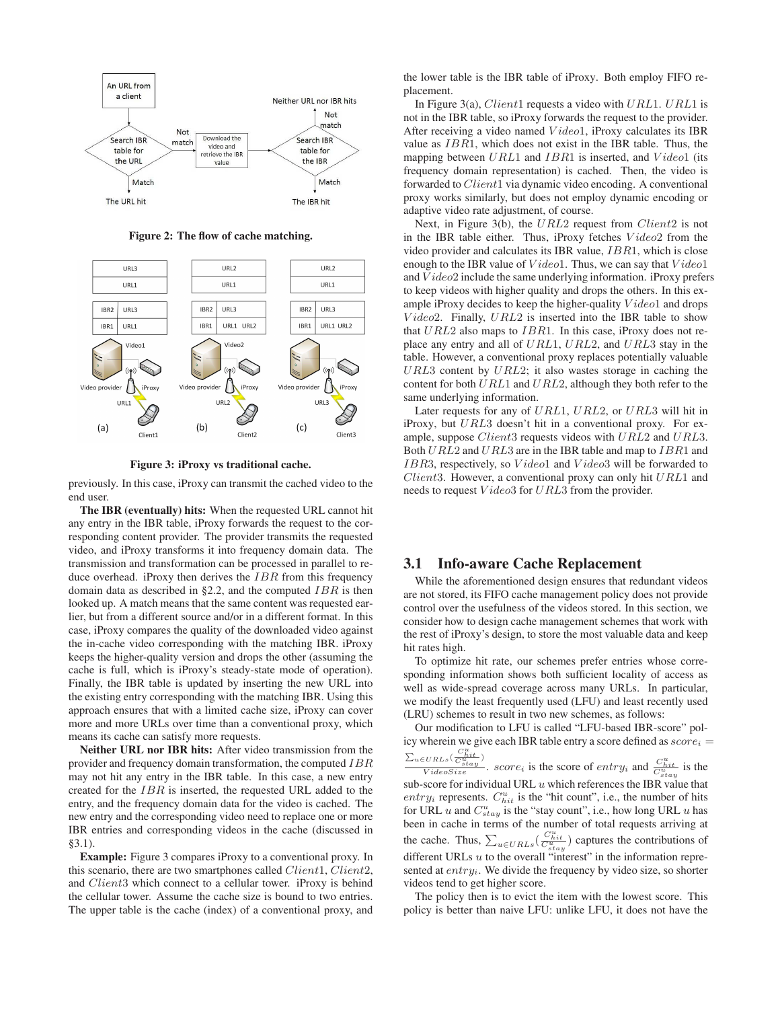

Figure 2: The flow of cache matching.



Figure 3: iProxy vs traditional cache.

previously. In this case, iProxy can transmit the cached video to the end user.

The IBR (eventually) hits: When the requested URL cannot hit any entry in the IBR table, iProxy forwards the request to the corresponding content provider. The provider transmits the requested video, and iProxy transforms it into frequency domain data. The transmission and transformation can be processed in parallel to reduce overhead. iProxy then derives the  $IBR$  from this frequency domain data as described in §2.2, and the computed  $IBR$  is then looked up. A match means that the same content was requested earlier, but from a different source and/or in a different format. In this case, iProxy compares the quality of the downloaded video against the in-cache video corresponding with the matching IBR. iProxy keeps the higher-quality version and drops the other (assuming the cache is full, which is iProxy's steady-state mode of operation). Finally, the IBR table is updated by inserting the new URL into the existing entry corresponding with the matching IBR. Using this approach ensures that with a limited cache size, iProxy can cover more and more URLs over time than a conventional proxy, which means its cache can satisfy more requests.

Neither URL nor IBR hits: After video transmission from the provider and frequency domain transformation, the computed  $IBR$ may not hit any entry in the IBR table. In this case, a new entry created for the IBR is inserted, the requested URL added to the entry, and the frequency domain data for the video is cached. The new entry and the corresponding video need to replace one or more IBR entries and corresponding videos in the cache (discussed in §3.1).

Example: Figure 3 compares iProxy to a conventional proxy. In this scenario, there are two smartphones called *Client1*, *Client2*, and Client<sub>3</sub> which connect to a cellular tower. iProxy is behind the cellular tower. Assume the cache size is bound to two entries. The upper table is the cache (index) of a conventional proxy, and

the lower table is the IBR table of iProxy. Both employ FIFO replacement.

In Figure 3(a), *Client1* requests a video with  $URL1$ .  $URL1$  is not in the IBR table, so iProxy forwards the request to the provider. After receiving a video named Video1, iProxy calculates its IBR value as IBR1, which does not exist in the IBR table. Thus, the mapping between  $URL1$  and  $IBR1$  is inserted, and  $Video1$  (its frequency domain representation) is cached. Then, the video is forwarded to *Client*1 via dynamic video encoding. A conventional proxy works similarly, but does not employ dynamic encoding or adaptive video rate adjustment, of course.

Next, in Figure 3(b), the URL2 request from Client2 is not in the IBR table either. Thus, iProxy fetches  $Video2$  from the video provider and calculates its IBR value,  $IBR1$ , which is close enough to the IBR value of  $Video1$ . Thus, we can say that  $Video1$ and  $Video2$  include the same underlying information. iProxy prefers to keep videos with higher quality and drops the others. In this example iProxy decides to keep the higher-quality V ideo1 and drops  $Video2$ . Finally,  $URL2$  is inserted into the IBR table to show that  $URL2$  also maps to  $IBR1$ . In this case, iProxy does not replace any entry and all of URL1, URL2, and URL3 stay in the table. However, a conventional proxy replaces potentially valuable  $URL3$  content by  $URL2$ ; it also wastes storage in caching the content for both URL1 and URL2, although they both refer to the same underlying information.

Later requests for any of URL1, URL2, or URL3 will hit in iProxy, but URL3 doesn't hit in a conventional proxy. For example, suppose Client3 requests videos with URL2 and URL3. Both URL2 and URL3 are in the IBR table and map to IBR1 and IBR3, respectively, so Video1 and Video3 will be forwarded to *Client3*. However, a conventional proxy can only hit  $URL1$  and needs to request  $Video3$  for  $URL3$  from the provider.

### 3.1 Info-aware Cache Replacement

While the aforementioned design ensures that redundant videos are not stored, its FIFO cache management policy does not provide control over the usefulness of the videos stored. In this section, we consider how to design cache management schemes that work with the rest of iProxy's design, to store the most valuable data and keep hit rates high.

To optimize hit rate, our schemes prefer entries whose corresponding information shows both sufficient locality of access as well as wide-spread coverage across many URLs. In particular, we modify the least frequently used (LFU) and least recently used (LRU) schemes to result in two new schemes, as follows:

Our modification to LFU is called "LFU-based IBR-score" policy wherein we give each IBR table entry a score defined as  $score_i =$  $\frac{\sum_{u \in URLS}(\frac{C_{hit}^u}{C_{stay}^u})}{Videosize}$ . score<sub>i</sub> is the score of entry<sub>i</sub> and  $\frac{C_{hit}^u}{C_{stay}^u}$  is the

sub-score for individual URL  $u$  which references the IBR value that entry<sub>i</sub> represents.  $C_{hit}^u$  is the "hit count", i.e., the number of hits for URL u and  $C_{stay}^u$  is the "stay count", i.e., how long URL u has been in cache in terms of the number of total requests arriving at the cache. Thus,  $\sum_{u \in URLs} \left( \frac{C_{hit}^u}{C_{stay}^u} \right)$  captures the contributions of different URLs  $u$  to the overall "interest" in the information represented at  $entry_i$ . We divide the frequency by video size, so shorter videos tend to get higher score.

The policy then is to evict the item with the lowest score. This policy is better than naive LFU: unlike LFU, it does not have the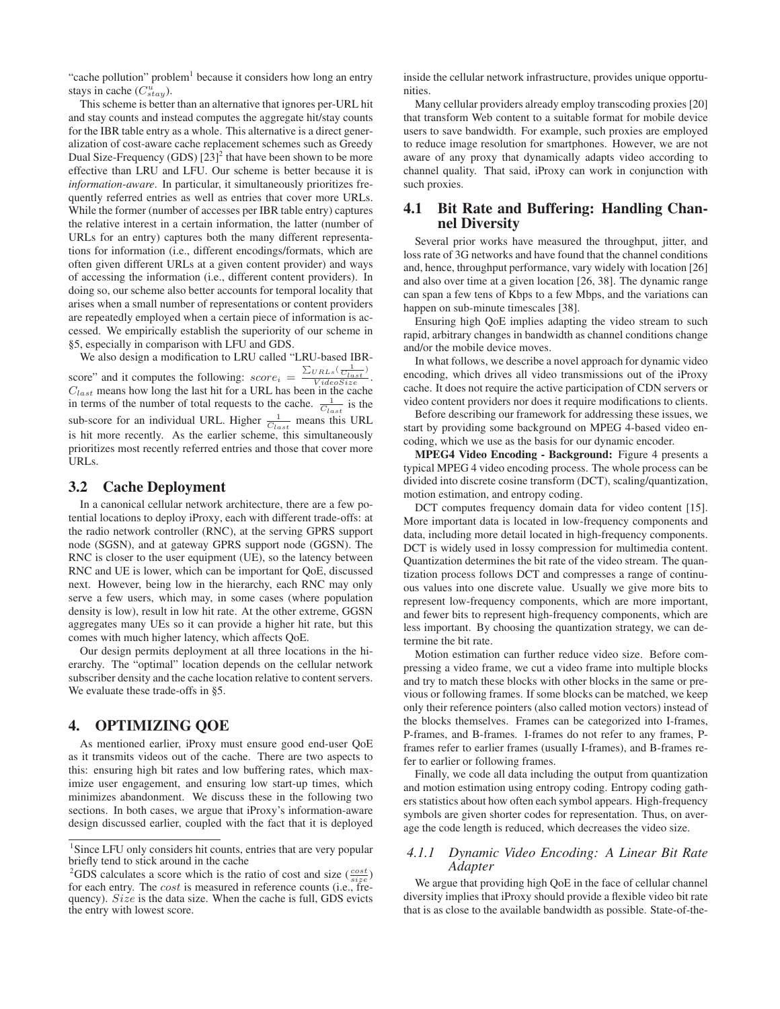"cache pollution" problem<sup>1</sup> because it considers how long an entry stays in cache  $(C_{stay}^u)$ .

This scheme is better than an alternative that ignores per-URL hit and stay counts and instead computes the aggregate hit/stay counts for the IBR table entry as a whole. This alternative is a direct generalization of cost-aware cache replacement schemes such as Greedy Dual Size-Frequency (GDS)  $[23]^2$  that have been shown to be more effective than LRU and LFU. Our scheme is better because it is *information-aware*. In particular, it simultaneously prioritizes frequently referred entries as well as entries that cover more URLs. While the former (number of accesses per IBR table entry) captures the relative interest in a certain information, the latter (number of URLs for an entry) captures both the many different representations for information (i.e., different encodings/formats, which are often given different URLs at a given content provider) and ways of accessing the information (i.e., different content providers). In doing so, our scheme also better accounts for temporal locality that arises when a small number of representations or content providers are repeatedly employed when a certain piece of information is accessed. We empirically establish the superiority of our scheme in §5, especially in comparison with LFU and GDS.

We also design a modification to LRU called "LRU-based IBRscore" and it computes the following:  $score_i = \frac{\sum_{URLs}(\frac{1}{C_{last}})}{VideoSize}.$  $C_{last}$  means how long the last hit for a URL has been in the cache in terms of the number of total requests to the cache.  $\frac{1}{C_{last}}$  is the sub-score for an individual URL. Higher  $\frac{1}{C_{last}}$  means this URL is hit more recently. As the earlier scheme, this simultaneously prioritizes most recently referred entries and those that cover more URLs.

#### 3.2 Cache Deployment

In a canonical cellular network architecture, there are a few potential locations to deploy iProxy, each with different trade-offs: at the radio network controller (RNC), at the serving GPRS support node (SGSN), and at gateway GPRS support node (GGSN). The RNC is closer to the user equipment (UE), so the latency between RNC and UE is lower, which can be important for QoE, discussed next. However, being low in the hierarchy, each RNC may only serve a few users, which may, in some cases (where population density is low), result in low hit rate. At the other extreme, GGSN aggregates many UEs so it can provide a higher hit rate, but this comes with much higher latency, which affects QoE.

Our design permits deployment at all three locations in the hierarchy. The "optimal" location depends on the cellular network subscriber density and the cache location relative to content servers. We evaluate these trade-offs in §5.

## 4. OPTIMIZING QOE

As mentioned earlier, iProxy must ensure good end-user QoE as it transmits videos out of the cache. There are two aspects to this: ensuring high bit rates and low buffering rates, which maximize user engagement, and ensuring low start-up times, which minimizes abandonment. We discuss these in the following two sections. In both cases, we argue that iProxy's information-aware design discussed earlier, coupled with the fact that it is deployed

inside the cellular network infrastructure, provides unique opportunities.

Many cellular providers already employ transcoding proxies [20] that transform Web content to a suitable format for mobile device users to save bandwidth. For example, such proxies are employed to reduce image resolution for smartphones. However, we are not aware of any proxy that dynamically adapts video according to channel quality. That said, iProxy can work in conjunction with such proxies.

## 4.1 Bit Rate and Buffering: Handling Channel Diversity

Several prior works have measured the throughput, jitter, and loss rate of 3G networks and have found that the channel conditions and, hence, throughput performance, vary widely with location [26] and also over time at a given location [26, 38]. The dynamic range can span a few tens of Kbps to a few Mbps, and the variations can happen on sub-minute timescales [38].

Ensuring high QoE implies adapting the video stream to such rapid, arbitrary changes in bandwidth as channel conditions change and/or the mobile device moves.

In what follows, we describe a novel approach for dynamic video encoding, which drives all video transmissions out of the iProxy cache. It does not require the active participation of CDN servers or video content providers nor does it require modifications to clients.

Before describing our framework for addressing these issues, we start by providing some background on MPEG 4-based video encoding, which we use as the basis for our dynamic encoder.

MPEG4 Video Encoding - Background: Figure 4 presents a typical MPEG 4 video encoding process. The whole process can be divided into discrete cosine transform (DCT), scaling/quantization, motion estimation, and entropy coding.

DCT computes frequency domain data for video content [15]. More important data is located in low-frequency components and data, including more detail located in high-frequency components. DCT is widely used in lossy compression for multimedia content. Quantization determines the bit rate of the video stream. The quantization process follows DCT and compresses a range of continuous values into one discrete value. Usually we give more bits to represent low-frequency components, which are more important, and fewer bits to represent high-frequency components, which are less important. By choosing the quantization strategy, we can determine the bit rate.

Motion estimation can further reduce video size. Before compressing a video frame, we cut a video frame into multiple blocks and try to match these blocks with other blocks in the same or previous or following frames. If some blocks can be matched, we keep only their reference pointers (also called motion vectors) instead of the blocks themselves. Frames can be categorized into I-frames, P-frames, and B-frames. I-frames do not refer to any frames, Pframes refer to earlier frames (usually I-frames), and B-frames refer to earlier or following frames.

Finally, we code all data including the output from quantization and motion estimation using entropy coding. Entropy coding gathers statistics about how often each symbol appears. High-frequency symbols are given shorter codes for representation. Thus, on average the code length is reduced, which decreases the video size.

## *4.1.1 Dynamic Video Encoding: A Linear Bit Rate Adapter*

We argue that providing high QoE in the face of cellular channel diversity implies that iProxy should provide a flexible video bit rate that is as close to the available bandwidth as possible. State-of-the-

<sup>&</sup>lt;sup>1</sup>Since LFU only considers hit counts, entries that are very popular briefly tend to stick around in the cache

<sup>&</sup>lt;sup>2</sup>GDS calculates a score which is the ratio of cost and size  $(\frac{cost}{size})$ for each entry. The cost is measured in reference counts (i.e., frequency). Size is the data size. When the cache is full, GDS evicts the entry with lowest score.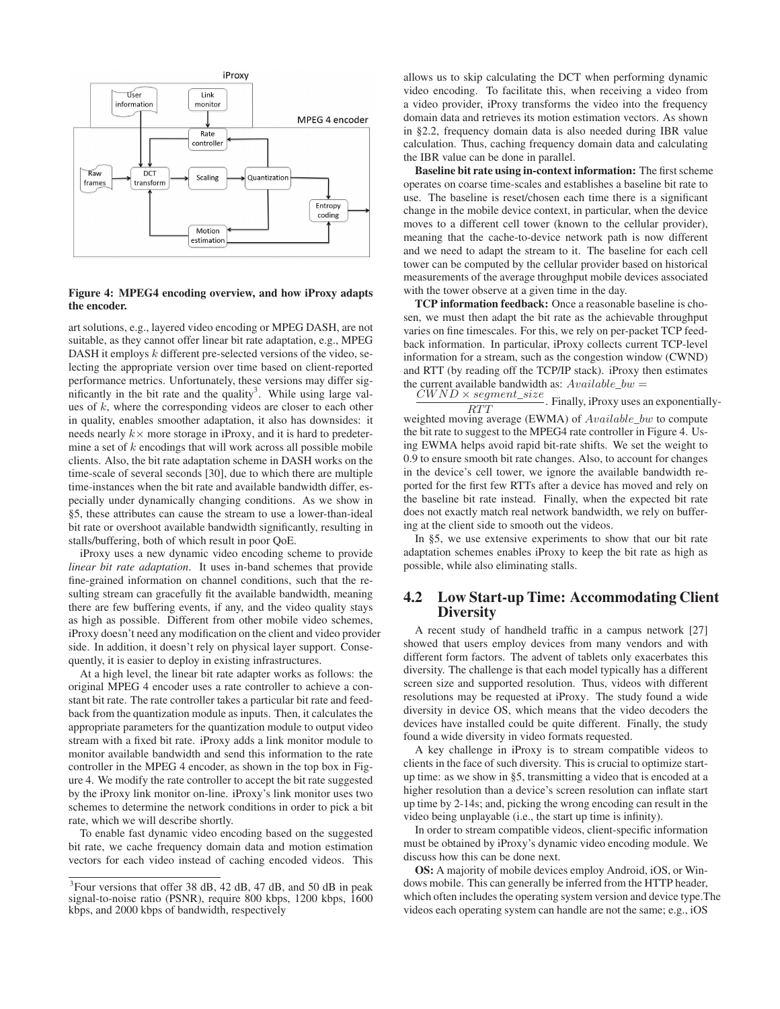

#### Figure 4: MPEG4 encoding overview, and how iProxy adapts the encoder.

art solutions, e.g., layered video encoding or MPEG DASH, are not suitable, as they cannot offer linear bit rate adaptation, e.g., MPEG DASH it employs  $k$  different pre-selected versions of the video, selecting the appropriate version over time based on client-reported performance metrics. Unfortunately, these versions may differ significantly in the bit rate and the quality<sup>3</sup>. While using large values of  $k$ , where the corresponding videos are closer to each other in quality, enables smoother adaptation, it also has downsides: it needs nearly  $k \times$  more storage in iProxy, and it is hard to predetermine a set of  $k$  encodings that will work across all possible mobile clients. Also, the bit rate adaptation scheme in DASH works on the time-scale of several seconds [30], due to which there are multiple time-instances when the bit rate and available bandwidth differ, especially under dynamically changing conditions. As we show in §5, these attributes can cause the stream to use a lower-than-ideal bit rate or overshoot available bandwidth significantly, resulting in stalls/buffering, both of which result in poor QoE.

iProxy uses a new dynamic video encoding scheme to provide *linear bit rate adaptation*. It uses in-band schemes that provide fine-grained information on channel conditions, such that the resulting stream can gracefully fit the available bandwidth, meaning there are few buffering events, if any, and the video quality stays as high as possible. Different from other mobile video schemes, iProxy doesn't need any modification on the client and video provider side. In addition, it doesn't rely on physical layer support. Consequently, it is easier to deploy in existing infrastructures.

At a high level, the linear bit rate adapter works as follows: the original MPEG 4 encoder uses a rate controller to achieve a constant bit rate. The rate controller takes a particular bit rate and feedback from the quantization module as inputs. Then, it calculates the appropriate parameters for the quantization module to output video stream with a fixed bit rate. iProxy adds a link monitor module to monitor available bandwidth and send this information to the rate controller in the MPEG 4 encoder, as shown in the top box in Figure 4. We modify the rate controller to accept the bit rate suggested by the iProxy link monitor on-line. iProxy's link monitor uses two schemes to determine the network conditions in order to pick a bit rate, which we will describe shortly.

To enable fast dynamic video encoding based on the suggested bit rate, we cache frequency domain data and motion estimation vectors for each video instead of caching encoded videos. This allows us to skip calculating the DCT when performing dynamic video encoding. To facilitate this, when receiving a video from a video provider, iProxy transforms the video into the frequency domain data and retrieves its motion estimation vectors. As shown in §2.2, frequency domain data is also needed during IBR value calculation. Thus, caching frequency domain data and calculating the IBR value can be done in parallel.

Baseline bit rate using in-context information: The first scheme operates on coarse time-scales and establishes a baseline bit rate to use. The baseline is reset/chosen each time there is a significant change in the mobile device context, in particular, when the device moves to a different cell tower (known to the cellular provider), meaning that the cache-to-device network path is now different and we need to adapt the stream to it. The baseline for each cell tower can be computed by the cellular provider based on historical measurements of the average throughput mobile devices associated with the tower observe at a given time in the day.

TCP information feedback: Once a reasonable baseline is chosen, we must then adapt the bit rate as the achievable throughput varies on fine timescales. For this, we rely on per-packet TCP feedback information. In particular, iProxy collects current TCP-level information for a stream, such as the congestion window (CWND) and RTT (by reading off the TCP/IP stack). iProxy then estimates the current available bandwidth as:  $Available_bw =$ 

 $\frac{CWND \times segment\_size}{RT}$ . Finally, iProxy uses an exponentially-RTT<br>weighted moving average (EWMA) of Available\_bw to compute the bit rate to suggest to the MPEG4 rate controller in Figure 4. Using EWMA helps avoid rapid bit-rate shifts. We set the weight to 0.9 to ensure smooth bit rate changes. Also, to account for changes in the device's cell tower, we ignore the available bandwidth reported for the first few RTTs after a device has moved and rely on the baseline bit rate instead. Finally, when the expected bit rate does not exactly match real network bandwidth, we rely on buffering at the client side to smooth out the videos.

In §5, we use extensive experiments to show that our bit rate adaptation schemes enables iProxy to keep the bit rate as high as possible, while also eliminating stalls.

# 4.2 Low Start-up Time: Accommodating Client **Diversity**

A recent study of handheld traffic in a campus network [27] showed that users employ devices from many vendors and with different form factors. The advent of tablets only exacerbates this diversity. The challenge is that each model typically has a different screen size and supported resolution. Thus, videos with different resolutions may be requested at iProxy. The study found a wide diversity in device OS, which means that the video decoders the devices have installed could be quite different. Finally, the study found a wide diversity in video formats requested.

A key challenge in iProxy is to stream compatible videos to clients in the face of such diversity. This is crucial to optimize startup time: as we show in §5, transmitting a video that is encoded at a higher resolution than a device's screen resolution can inflate start up time by 2-14s; and, picking the wrong encoding can result in the video being unplayable (i.e., the start up time is infinity).

In order to stream compatible videos, client-specific information must be obtained by iProxy's dynamic video encoding module. We discuss how this can be done next.

OS: A majority of mobile devices employ Android, iOS, or Windows mobile. This can generally be inferred from the HTTP header, which often includes the operating system version and device type.The videos each operating system can handle are not the same; e.g., iOS

<sup>&</sup>lt;sup>3</sup> Four versions that offer 38 dB, 42 dB, 47 dB, and 50 dB in peak signal-to-noise ratio (PSNR), require 800 kbps, 1200 kbps, 1600 kbps, and 2000 kbps of bandwidth, respectively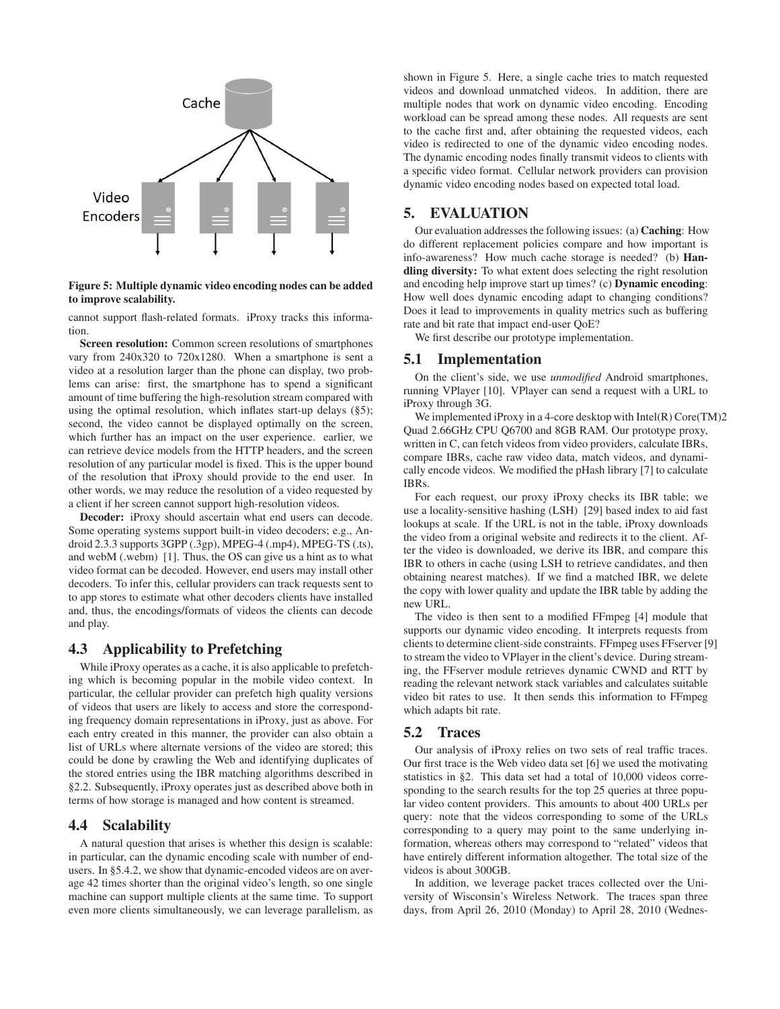

#### Figure 5: Multiple dynamic video encoding nodes can be added to improve scalability.

cannot support flash-related formats. iProxy tracks this information.

Screen resolution: Common screen resolutions of smartphones vary from 240x320 to 720x1280. When a smartphone is sent a video at a resolution larger than the phone can display, two problems can arise: first, the smartphone has to spend a significant amount of time buffering the high-resolution stream compared with using the optimal resolution, which inflates start-up delays (§5); second, the video cannot be displayed optimally on the screen, which further has an impact on the user experience. earlier, we can retrieve device models from the HTTP headers, and the screen resolution of any particular model is fixed. This is the upper bound of the resolution that iProxy should provide to the end user. In other words, we may reduce the resolution of a video requested by a client if her screen cannot support high-resolution videos.

Decoder: iProxy should ascertain what end users can decode. Some operating systems support built-in video decoders; e.g., Android 2.3.3 supports 3GPP (.3gp), MPEG-4 (.mp4), MPEG-TS (.ts), and webM (.webm) [1]. Thus, the OS can give us a hint as to what video format can be decoded. However, end users may install other decoders. To infer this, cellular providers can track requests sent to to app stores to estimate what other decoders clients have installed and, thus, the encodings/formats of videos the clients can decode and play.

# 4.3 Applicability to Prefetching

While iProxy operates as a cache, it is also applicable to prefetching which is becoming popular in the mobile video context. In particular, the cellular provider can prefetch high quality versions of videos that users are likely to access and store the corresponding frequency domain representations in iProxy, just as above. For each entry created in this manner, the provider can also obtain a list of URLs where alternate versions of the video are stored; this could be done by crawling the Web and identifying duplicates of the stored entries using the IBR matching algorithms described in §2.2. Subsequently, iProxy operates just as described above both in terms of how storage is managed and how content is streamed.

## 4.4 Scalability

A natural question that arises is whether this design is scalable: in particular, can the dynamic encoding scale with number of endusers. In §5.4.2, we show that dynamic-encoded videos are on average 42 times shorter than the original video's length, so one single machine can support multiple clients at the same time. To support even more clients simultaneously, we can leverage parallelism, as

shown in Figure 5. Here, a single cache tries to match requested videos and download unmatched videos. In addition, there are multiple nodes that work on dynamic video encoding. Encoding workload can be spread among these nodes. All requests are sent to the cache first and, after obtaining the requested videos, each video is redirected to one of the dynamic video encoding nodes. The dynamic encoding nodes finally transmit videos to clients with a specific video format. Cellular network providers can provision dynamic video encoding nodes based on expected total load.

# 5. EVALUATION

Our evaluation addresses the following issues: (a) Caching: How do different replacement policies compare and how important is info-awareness? How much cache storage is needed? (b) Handling diversity: To what extent does selecting the right resolution and encoding help improve start up times? (c) Dynamic encoding: How well does dynamic encoding adapt to changing conditions? Does it lead to improvements in quality metrics such as buffering rate and bit rate that impact end-user QoE?

We first describe our prototype implementation.

#### 5.1 Implementation

On the client's side, we use *unmodified* Android smartphones, running VPlayer [10]. VPlayer can send a request with a URL to iProxy through 3G.

We implemented iProxy in a 4-core desktop with Intel(R) Core(TM)2 Quad 2.66GHz CPU Q6700 and 8GB RAM. Our prototype proxy, written in C, can fetch videos from video providers, calculate IBRs, compare IBRs, cache raw video data, match videos, and dynamically encode videos. We modified the pHash library [7] to calculate IBRs.

For each request, our proxy iProxy checks its IBR table; we use a locality-sensitive hashing (LSH) [29] based index to aid fast lookups at scale. If the URL is not in the table, iProxy downloads the video from a original website and redirects it to the client. After the video is downloaded, we derive its IBR, and compare this IBR to others in cache (using LSH to retrieve candidates, and then obtaining nearest matches). If we find a matched IBR, we delete the copy with lower quality and update the IBR table by adding the new URL.

The video is then sent to a modified FFmpeg [4] module that supports our dynamic video encoding. It interprets requests from clients to determine client-side constraints. FFmpeg uses FFserver [9] to stream the video to VPlayer in the client's device. During streaming, the FFserver module retrieves dynamic CWND and RTT by reading the relevant network stack variables and calculates suitable video bit rates to use. It then sends this information to FFmpeg which adapts bit rate.

## 5.2 Traces

Our analysis of iProxy relies on two sets of real traffic traces. Our first trace is the Web video data set [6] we used the motivating statistics in §2. This data set had a total of 10,000 videos corresponding to the search results for the top 25 queries at three popular video content providers. This amounts to about 400 URLs per query: note that the videos corresponding to some of the URLs corresponding to a query may point to the same underlying information, whereas others may correspond to "related" videos that have entirely different information altogether. The total size of the videos is about 300GB.

In addition, we leverage packet traces collected over the University of Wisconsin's Wireless Network. The traces span three days, from April 26, 2010 (Monday) to April 28, 2010 (Wednes-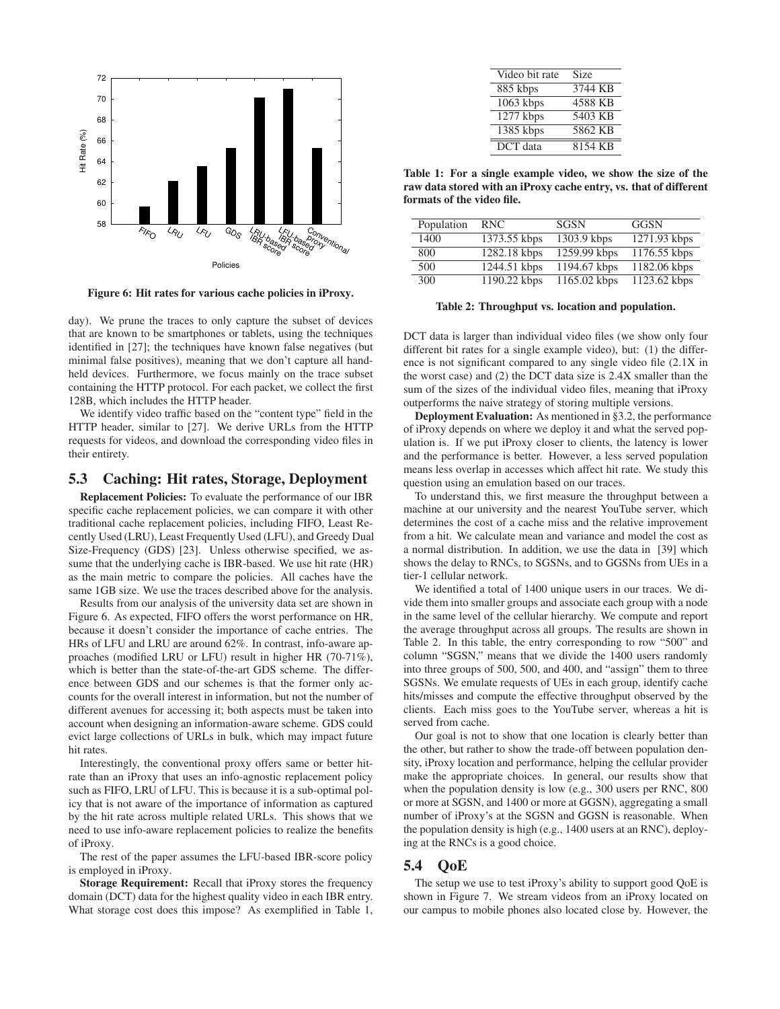

Figure 6: Hit rates for various cache policies in iProxy.

day). We prune the traces to only capture the subset of devices that are known to be smartphones or tablets, using the techniques identified in [27]; the techniques have known false negatives (but minimal false positives), meaning that we don't capture all handheld devices. Furthermore, we focus mainly on the trace subset containing the HTTP protocol. For each packet, we collect the first 128B, which includes the HTTP header.

We identify video traffic based on the "content type" field in the HTTP header, similar to [27]. We derive URLs from the HTTP requests for videos, and download the corresponding video files in their entirety.

#### 5.3 Caching: Hit rates, Storage, Deployment

Replacement Policies: To evaluate the performance of our IBR specific cache replacement policies, we can compare it with other traditional cache replacement policies, including FIFO, Least Recently Used (LRU), Least Frequently Used (LFU), and Greedy Dual Size-Frequency (GDS) [23]. Unless otherwise specified, we assume that the underlying cache is IBR-based. We use hit rate (HR) as the main metric to compare the policies. All caches have the same 1GB size. We use the traces described above for the analysis.

Results from our analysis of the university data set are shown in Figure 6. As expected, FIFO offers the worst performance on HR, because it doesn't consider the importance of cache entries. The HRs of LFU and LRU are around 62%. In contrast, info-aware approaches (modified LRU or LFU) result in higher HR (70-71%), which is better than the state-of-the-art GDS scheme. The difference between GDS and our schemes is that the former only accounts for the overall interest in information, but not the number of different avenues for accessing it; both aspects must be taken into account when designing an information-aware scheme. GDS could evict large collections of URLs in bulk, which may impact future hit rates.

Interestingly, the conventional proxy offers same or better hitrate than an iProxy that uses an info-agnostic replacement policy such as FIFO, LRU of LFU. This is because it is a sub-optimal policy that is not aware of the importance of information as captured by the hit rate across multiple related URLs. This shows that we need to use info-aware replacement policies to realize the benefits of iProxy.

The rest of the paper assumes the LFU-based IBR-score policy is employed in iProxy.

Storage Requirement: Recall that iProxy stores the frequency domain (DCT) data for the highest quality video in each IBR entry. What storage cost does this impose? As exemplified in Table 1,

| Video bit rate | Size    |
|----------------|---------|
| 885 kbps       | 3744 KB |
| $1063$ kbps    | 4588 KB |
| 1277 kbps      | 5403 KB |
| 1385 kbps      | 5862 KB |
| DCT data       | 8154 KB |

 $\overline{\phantom{a}}$ 

Table 1: For a single example video, we show the size of the raw data stored with an iProxy cache entry, vs. that of different formats of the video file.

| Population | RNC.         | <b>SGSN</b>  | <b>GGSN</b>  |
|------------|--------------|--------------|--------------|
| 1400       | 1373.55 kbps | 1303.9 kbps  | 1271.93 kbps |
| 800        | 1282.18 kbps | 1259.99 kbps | 1176.55 kbps |
| 500        | 1244.51 kbps | 1194.67 kbps | 1182.06 kbps |
| 300        | 1190.22 kbps | 1165.02 kbps | 1123.62 kbps |

Table 2: Throughput vs. location and population.

DCT data is larger than individual video files (we show only four different bit rates for a single example video), but: (1) the difference is not significant compared to any single video file (2.1X in the worst case) and (2) the DCT data size is 2.4X smaller than the sum of the sizes of the individual video files, meaning that iProxy outperforms the naive strategy of storing multiple versions.

Deployment Evaluation: As mentioned in §3.2, the performance of iProxy depends on where we deploy it and what the served population is. If we put iProxy closer to clients, the latency is lower and the performance is better. However, a less served population means less overlap in accesses which affect hit rate. We study this question using an emulation based on our traces.

To understand this, we first measure the throughput between a machine at our university and the nearest YouTube server, which determines the cost of a cache miss and the relative improvement from a hit. We calculate mean and variance and model the cost as a normal distribution. In addition, we use the data in [39] which shows the delay to RNCs, to SGSNs, and to GGSNs from UEs in a tier-1 cellular network.

We identified a total of 1400 unique users in our traces. We divide them into smaller groups and associate each group with a node in the same level of the cellular hierarchy. We compute and report the average throughput across all groups. The results are shown in Table 2. In this table, the entry corresponding to row "500" and column "SGSN," means that we divide the 1400 users randomly into three groups of 500, 500, and 400, and "assign" them to three SGSNs. We emulate requests of UEs in each group, identify cache hits/misses and compute the effective throughput observed by the clients. Each miss goes to the YouTube server, whereas a hit is served from cache.

Our goal is not to show that one location is clearly better than the other, but rather to show the trade-off between population density, iProxy location and performance, helping the cellular provider make the appropriate choices. In general, our results show that when the population density is low (e.g., 300 users per RNC, 800 or more at SGSN, and 1400 or more at GGSN), aggregating a small number of iProxy's at the SGSN and GGSN is reasonable. When the population density is high (e.g., 1400 users at an RNC), deploying at the RNCs is a good choice.

## 5.4 QoE

The setup we use to test iProxy's ability to support good QoE is shown in Figure 7. We stream videos from an iProxy located on our campus to mobile phones also located close by. However, the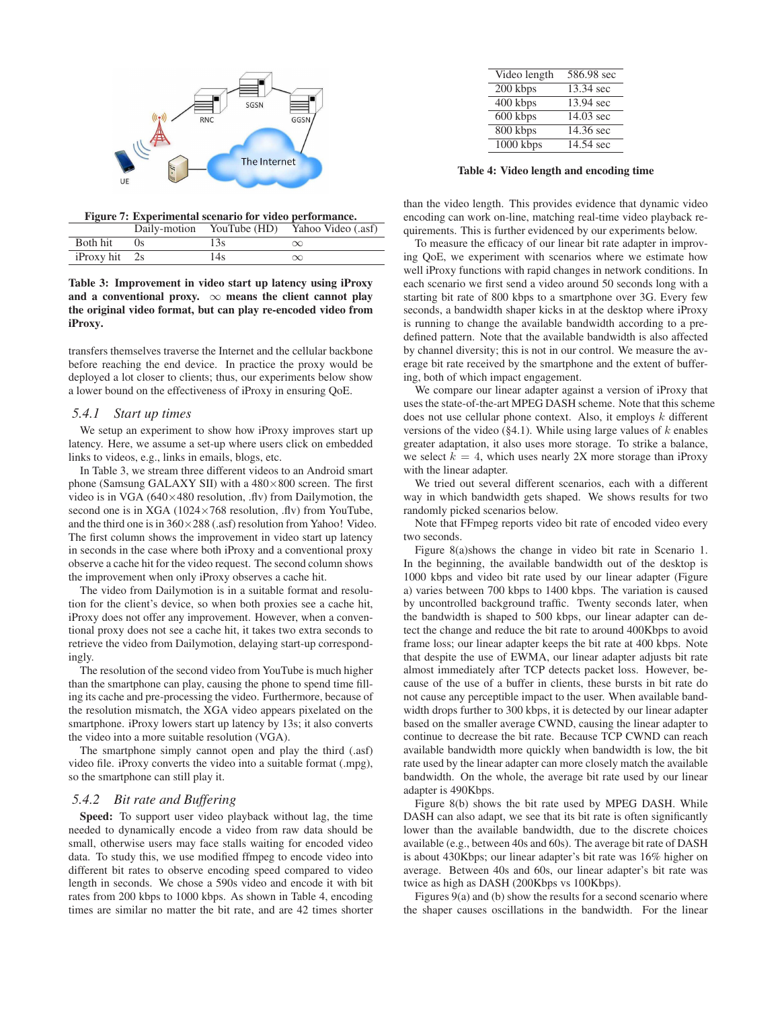

Figure 7: Experimental scenario for video performance.

|                  |    |     | Daily-motion YouTube (HD) Yahoo Video (.asf) |
|------------------|----|-----|----------------------------------------------|
| Both hit         | 0s | 13s | $\infty$                                     |
| $i$ Proxy hit 2s |    | 14s | $\infty$                                     |

Table 3: Improvement in video start up latency using iProxy and a conventional proxy.  $\infty$  means the client cannot play the original video format, but can play re-encoded video from iProxy.

transfers themselves traverse the Internet and the cellular backbone before reaching the end device. In practice the proxy would be deployed a lot closer to clients; thus, our experiments below show a lower bound on the effectiveness of iProxy in ensuring QoE.

#### *5.4.1 Start up times*

We setup an experiment to show how iProxy improves start up latency. Here, we assume a set-up where users click on embedded links to videos, e.g., links in emails, blogs, etc.

In Table 3, we stream three different videos to an Android smart phone (Samsung GALAXY SII) with a  $480\times800$  screen. The first video is in VGA (640×480 resolution, .flv) from Dailymotion, the second one is in XGA ( $1024 \times 768$  resolution, .flv) from YouTube, and the third one is in  $360 \times 288$  (.asf) resolution from Yahoo! Video. The first column shows the improvement in video start up latency in seconds in the case where both iProxy and a conventional proxy observe a cache hit for the video request. The second column shows the improvement when only iProxy observes a cache hit.

The video from Dailymotion is in a suitable format and resolution for the client's device, so when both proxies see a cache hit, iProxy does not offer any improvement. However, when a conventional proxy does not see a cache hit, it takes two extra seconds to retrieve the video from Dailymotion, delaying start-up correspondingly.

The resolution of the second video from YouTube is much higher than the smartphone can play, causing the phone to spend time filling its cache and pre-processing the video. Furthermore, because of the resolution mismatch, the XGA video appears pixelated on the smartphone. iProxy lowers start up latency by 13s; it also converts the video into a more suitable resolution (VGA).

The smartphone simply cannot open and play the third (.asf) video file. iProxy converts the video into a suitable format (.mpg), so the smartphone can still play it.

#### *5.4.2 Bit rate and Buffering*

Speed: To support user video playback without lag, the time needed to dynamically encode a video from raw data should be small, otherwise users may face stalls waiting for encoded video data. To study this, we use modified ffmpeg to encode video into different bit rates to observe encoding speed compared to video length in seconds. We chose a 590s video and encode it with bit rates from 200 kbps to 1000 kbps. As shown in Table 4, encoding times are similar no matter the bit rate, and are 42 times shorter

| Video length | 586.98 sec |
|--------------|------------|
| 200 kbps     | 13.34 sec  |
| 400 kbps     | 13.94 sec  |
| 600 kbps     | 14.03 sec  |
| 800 kbps     | 14.36 sec  |
| $1000$ kbps  | 14.54 sec  |

Table 4: Video length and encoding time

than the video length. This provides evidence that dynamic video encoding can work on-line, matching real-time video playback requirements. This is further evidenced by our experiments below.

To measure the efficacy of our linear bit rate adapter in improving QoE, we experiment with scenarios where we estimate how well iProxy functions with rapid changes in network conditions. In each scenario we first send a video around 50 seconds long with a starting bit rate of 800 kbps to a smartphone over 3G. Every few seconds, a bandwidth shaper kicks in at the desktop where iProxy is running to change the available bandwidth according to a predefined pattern. Note that the available bandwidth is also affected by channel diversity; this is not in our control. We measure the average bit rate received by the smartphone and the extent of buffering, both of which impact engagement.

We compare our linear adapter against a version of iProxy that uses the state-of-the-art MPEG DASH scheme. Note that this scheme does not use cellular phone context. Also, it employs  $k$  different versions of the video (§4.1). While using large values of  $k$  enables greater adaptation, it also uses more storage. To strike a balance, we select  $k = 4$ , which uses nearly 2X more storage than iProxy with the linear adapter.

We tried out several different scenarios, each with a different way in which bandwidth gets shaped. We shows results for two randomly picked scenarios below.

Note that FFmpeg reports video bit rate of encoded video every two seconds.

Figure 8(a)shows the change in video bit rate in Scenario 1. In the beginning, the available bandwidth out of the desktop is 1000 kbps and video bit rate used by our linear adapter (Figure a) varies between 700 kbps to 1400 kbps. The variation is caused by uncontrolled background traffic. Twenty seconds later, when the bandwidth is shaped to 500 kbps, our linear adapter can detect the change and reduce the bit rate to around 400Kbps to avoid frame loss; our linear adapter keeps the bit rate at 400 kbps. Note that despite the use of EWMA, our linear adapter adjusts bit rate almost immediately after TCP detects packet loss. However, because of the use of a buffer in clients, these bursts in bit rate do not cause any perceptible impact to the user. When available bandwidth drops further to 300 kbps, it is detected by our linear adapter based on the smaller average CWND, causing the linear adapter to continue to decrease the bit rate. Because TCP CWND can reach available bandwidth more quickly when bandwidth is low, the bit rate used by the linear adapter can more closely match the available bandwidth. On the whole, the average bit rate used by our linear adapter is 490Kbps.

Figure 8(b) shows the bit rate used by MPEG DASH. While DASH can also adapt, we see that its bit rate is often significantly lower than the available bandwidth, due to the discrete choices available (e.g., between 40s and 60s). The average bit rate of DASH is about 430Kbps; our linear adapter's bit rate was 16% higher on average. Between 40s and 60s, our linear adapter's bit rate was twice as high as DASH (200Kbps vs 100Kbps).

Figures 9(a) and (b) show the results for a second scenario where the shaper causes oscillations in the bandwidth. For the linear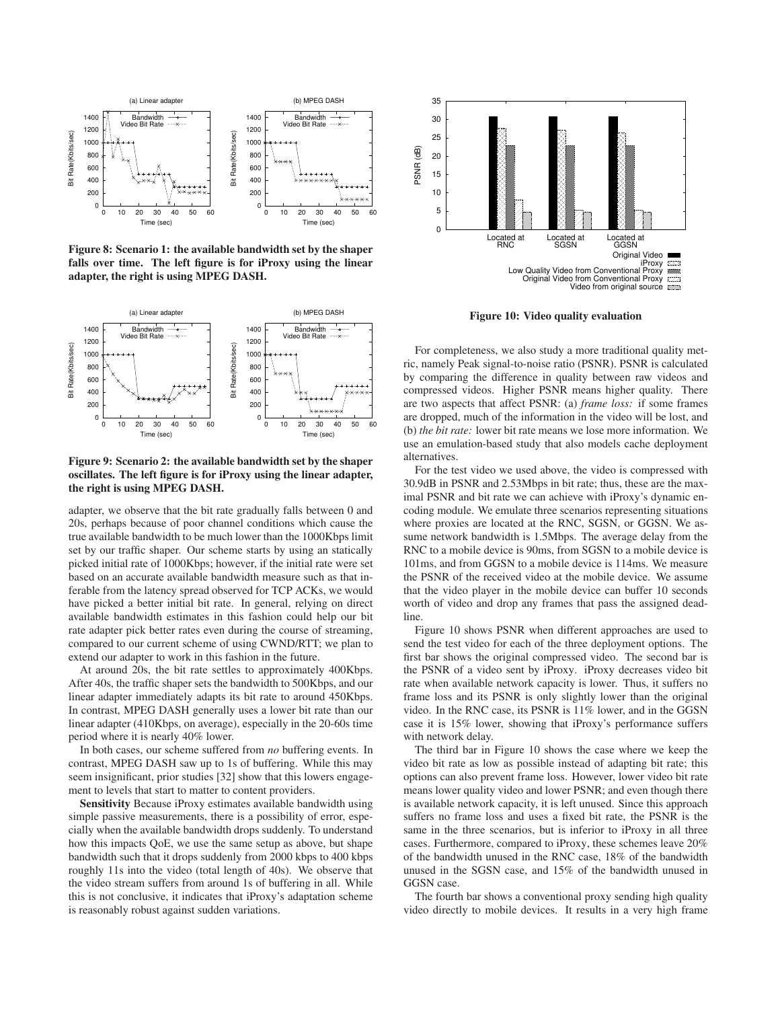

Figure 8: Scenario 1: the available bandwidth set by the shaper falls over time. The left figure is for iProxy using the linear adapter, the right is using MPEG DASH.



#### Figure 9: Scenario 2: the available bandwidth set by the shaper oscillates. The left figure is for iProxy using the linear adapter, the right is using MPEG DASH.

adapter, we observe that the bit rate gradually falls between 0 and 20s, perhaps because of poor channel conditions which cause the true available bandwidth to be much lower than the 1000Kbps limit set by our traffic shaper. Our scheme starts by using an statically picked initial rate of 1000Kbps; however, if the initial rate were set based on an accurate available bandwidth measure such as that inferable from the latency spread observed for TCP ACKs, we would have picked a better initial bit rate. In general, relying on direct available bandwidth estimates in this fashion could help our bit rate adapter pick better rates even during the course of streaming, compared to our current scheme of using CWND/RTT; we plan to extend our adapter to work in this fashion in the future.

At around 20s, the bit rate settles to approximately 400Kbps. After 40s, the traffic shaper sets the bandwidth to 500Kbps, and our linear adapter immediately adapts its bit rate to around 450Kbps. In contrast, MPEG DASH generally uses a lower bit rate than our linear adapter (410Kbps, on average), especially in the 20-60s time period where it is nearly 40% lower.

In both cases, our scheme suffered from *no* buffering events. In contrast, MPEG DASH saw up to 1s of buffering. While this may seem insignificant, prior studies [32] show that this lowers engagement to levels that start to matter to content providers.

Sensitivity Because iProxy estimates available bandwidth using simple passive measurements, there is a possibility of error, especially when the available bandwidth drops suddenly. To understand how this impacts QoE, we use the same setup as above, but shape bandwidth such that it drops suddenly from 2000 kbps to 400 kbps roughly 11s into the video (total length of 40s). We observe that the video stream suffers from around 1s of buffering in all. While this is not conclusive, it indicates that iProxy's adaptation scheme is reasonably robust against sudden variations.



Figure 10: Video quality evaluation

For completeness, we also study a more traditional quality metric, namely Peak signal-to-noise ratio (PSNR). PSNR is calculated by comparing the difference in quality between raw videos and compressed videos. Higher PSNR means higher quality. There are two aspects that affect PSNR: (a) *frame loss:* if some frames are dropped, much of the information in the video will be lost, and (b) *the bit rate:* lower bit rate means we lose more information. We use an emulation-based study that also models cache deployment alternatives.

For the test video we used above, the video is compressed with 30.9dB in PSNR and 2.53Mbps in bit rate; thus, these are the maximal PSNR and bit rate we can achieve with iProxy's dynamic encoding module. We emulate three scenarios representing situations where proxies are located at the RNC, SGSN, or GGSN. We assume network bandwidth is 1.5Mbps. The average delay from the RNC to a mobile device is 90ms, from SGSN to a mobile device is 101ms, and from GGSN to a mobile device is 114ms. We measure the PSNR of the received video at the mobile device. We assume that the video player in the mobile device can buffer 10 seconds worth of video and drop any frames that pass the assigned deadline.

Figure 10 shows PSNR when different approaches are used to send the test video for each of the three deployment options. The first bar shows the original compressed video. The second bar is the PSNR of a video sent by iProxy. iProxy decreases video bit rate when available network capacity is lower. Thus, it suffers no frame loss and its PSNR is only slightly lower than the original video. In the RNC case, its PSNR is 11% lower, and in the GGSN case it is 15% lower, showing that iProxy's performance suffers with network delay.

The third bar in Figure 10 shows the case where we keep the video bit rate as low as possible instead of adapting bit rate; this options can also prevent frame loss. However, lower video bit rate means lower quality video and lower PSNR; and even though there is available network capacity, it is left unused. Since this approach suffers no frame loss and uses a fixed bit rate, the PSNR is the same in the three scenarios, but is inferior to iProxy in all three cases. Furthermore, compared to iProxy, these schemes leave 20% of the bandwidth unused in the RNC case, 18% of the bandwidth unused in the SGSN case, and 15% of the bandwidth unused in GGSN case.

The fourth bar shows a conventional proxy sending high quality video directly to mobile devices. It results in a very high frame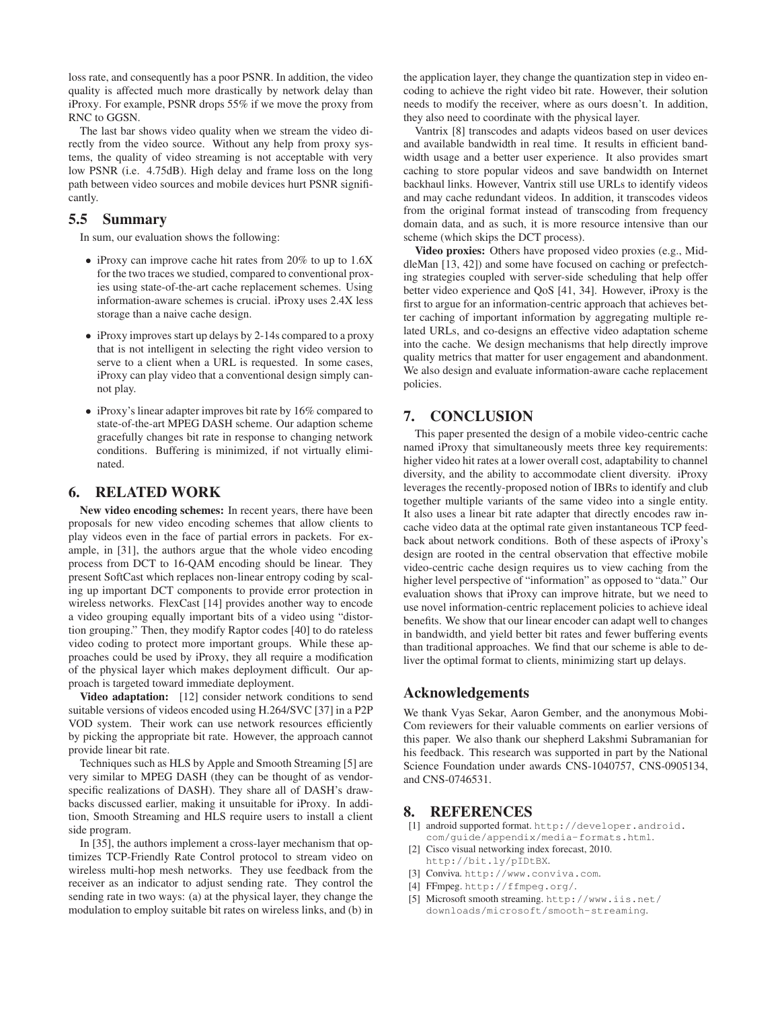loss rate, and consequently has a poor PSNR. In addition, the video quality is affected much more drastically by network delay than iProxy. For example, PSNR drops 55% if we move the proxy from RNC to GGSN.

The last bar shows video quality when we stream the video directly from the video source. Without any help from proxy systems, the quality of video streaming is not acceptable with very low PSNR (i.e. 4.75dB). High delay and frame loss on the long path between video sources and mobile devices hurt PSNR significantly.

# 5.5 Summary

In sum, our evaluation shows the following:

- iProxy can improve cache hit rates from 20% to up to 1.6X for the two traces we studied, compared to conventional proxies using state-of-the-art cache replacement schemes. Using information-aware schemes is crucial. iProxy uses 2.4X less storage than a naive cache design.
- iProxy improves start up delays by 2-14s compared to a proxy that is not intelligent in selecting the right video version to serve to a client when a URL is requested. In some cases, iProxy can play video that a conventional design simply cannot play.
- iProxy's linear adapter improves bit rate by 16% compared to state-of-the-art MPEG DASH scheme. Our adaption scheme gracefully changes bit rate in response to changing network conditions. Buffering is minimized, if not virtually eliminated.

# 6. RELATED WORK

New video encoding schemes: In recent years, there have been proposals for new video encoding schemes that allow clients to play videos even in the face of partial errors in packets. For example, in [31], the authors argue that the whole video encoding process from DCT to 16-QAM encoding should be linear. They present SoftCast which replaces non-linear entropy coding by scaling up important DCT components to provide error protection in wireless networks. FlexCast [14] provides another way to encode a video grouping equally important bits of a video using "distortion grouping." Then, they modify Raptor codes [40] to do rateless video coding to protect more important groups. While these approaches could be used by iProxy, they all require a modification of the physical layer which makes deployment difficult. Our approach is targeted toward immediate deployment.

Video adaptation: [12] consider network conditions to send suitable versions of videos encoded using H.264/SVC [37] in a P2P VOD system. Their work can use network resources efficiently by picking the appropriate bit rate. However, the approach cannot provide linear bit rate.

Techniques such as HLS by Apple and Smooth Streaming [5] are very similar to MPEG DASH (they can be thought of as vendorspecific realizations of DASH). They share all of DASH's drawbacks discussed earlier, making it unsuitable for iProxy. In addition, Smooth Streaming and HLS require users to install a client side program.

In [35], the authors implement a cross-layer mechanism that optimizes TCP-Friendly Rate Control protocol to stream video on wireless multi-hop mesh networks. They use feedback from the receiver as an indicator to adjust sending rate. They control the sending rate in two ways: (a) at the physical layer, they change the modulation to employ suitable bit rates on wireless links, and (b) in

the application layer, they change the quantization step in video encoding to achieve the right video bit rate. However, their solution needs to modify the receiver, where as ours doesn't. In addition, they also need to coordinate with the physical layer.

Vantrix [8] transcodes and adapts videos based on user devices and available bandwidth in real time. It results in efficient bandwidth usage and a better user experience. It also provides smart caching to store popular videos and save bandwidth on Internet backhaul links. However, Vantrix still use URLs to identify videos and may cache redundant videos. In addition, it transcodes videos from the original format instead of transcoding from frequency domain data, and as such, it is more resource intensive than our scheme (which skips the DCT process).

Video proxies: Others have proposed video proxies (e.g., MiddleMan [13, 42]) and some have focused on caching or prefectching strategies coupled with server-side scheduling that help offer better video experience and QoS [41, 34]. However, iProxy is the first to argue for an information-centric approach that achieves better caching of important information by aggregating multiple related URLs, and co-designs an effective video adaptation scheme into the cache. We design mechanisms that help directly improve quality metrics that matter for user engagement and abandonment. We also design and evaluate information-aware cache replacement policies.

# 7. CONCLUSION

This paper presented the design of a mobile video-centric cache named iProxy that simultaneously meets three key requirements: higher video hit rates at a lower overall cost, adaptability to channel diversity, and the ability to accommodate client diversity. iProxy leverages the recently-proposed notion of IBRs to identify and club together multiple variants of the same video into a single entity. It also uses a linear bit rate adapter that directly encodes raw incache video data at the optimal rate given instantaneous TCP feedback about network conditions. Both of these aspects of iProxy's design are rooted in the central observation that effective mobile video-centric cache design requires us to view caching from the higher level perspective of "information" as opposed to "data." Our evaluation shows that iProxy can improve hitrate, but we need to use novel information-centric replacement policies to achieve ideal benefits. We show that our linear encoder can adapt well to changes in bandwidth, and yield better bit rates and fewer buffering events than traditional approaches. We find that our scheme is able to deliver the optimal format to clients, minimizing start up delays.

# Acknowledgements

We thank Vyas Sekar, Aaron Gember, and the anonymous Mobi-Com reviewers for their valuable comments on earlier versions of this paper. We also thank our shepherd Lakshmi Subramanian for his feedback. This research was supported in part by the National Science Foundation under awards CNS-1040757, CNS-0905134, and CNS-0746531.

# 8. REFERENCES

- [1] android supported format. http://developer.android. com/guide/appendix/media-formats.html.
- Cisco visual networking index forecast, 2010. http://bit.ly/pIDtBX.
- Conviva. http://www.conviva.com.
- [4] FFmpeg. http://ffmpeg.org/.
- [5] Microsoft smooth streaming. http://www.iis.net/ downloads/microsoft/smooth-streaming.